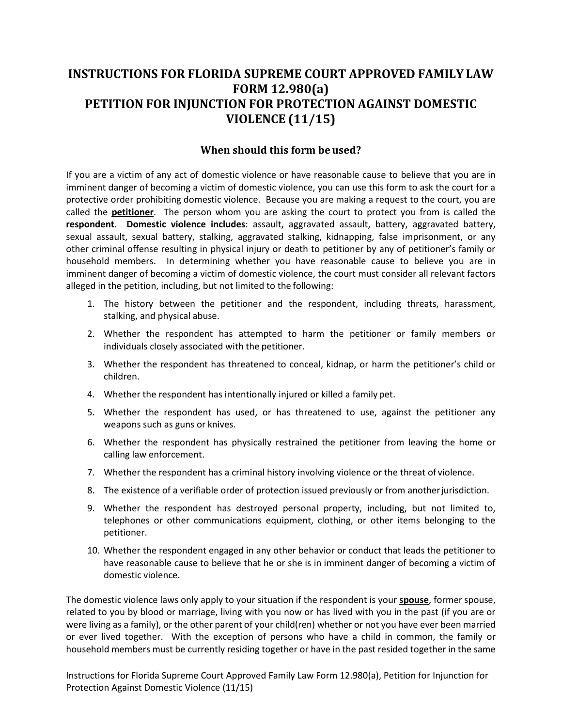# **INSTRUCTIONS FOR FLORIDA SUPREME COURT APPROVED FAMILY LAW FORM 12.980(a) PETITION FOR INJUNCTION FOR PROTECTION AGAINST DOMESTIC VIOLENCE (11/15)**

## **When should this form be used?**

 If you are a victim of any act of domestic violence or have reasonable cause to believe that you are in imminent danger of becoming a victim of domestic violence, you can use this form to ask the court for a protective order prohibiting domestic violence. Because you are making a request to the court, you are called the **petitioner**. The person whom you are asking the court to protect you from is called the **respondent**. **Domestic violence includes**: assault, aggravated assault, battery, aggravated battery, sexual assault, sexual battery, stalking, aggravated stalking, kidnapping, false imprisonment, or any other criminal offense resulting in physical injury or death to petitioner by any of petitioner's family or household members. In determining whether you have reasonable cause to believe you are in imminent danger of becoming a victim of domestic violence, the court must consider all relevant factors alleged in the petition, including, but not limited to the following:

- 1. The history between the petitioner and the respondent, including threats, harassment, stalking, and physical abuse.
- 2. Whether the respondent has attempted to harm the petitioner or family members or individuals closely associated with the petitioner.
- 3. Whether the respondent has threatened to conceal, kidnap, or harm the petitioner's child or children.
- 4. Whether the respondent has intentionally injured or killed a family pet.
- weapons such as guns or knives. 5. Whether the respondent has used, or has threatened to use, against the petitioner any
- 6. Whether the respondent has physically restrained the petitioner from leaving the home or calling law enforcement.
- 7. Whether the respondent has a criminal history involving violence or the threat of violence.
- 8. The existence of a verifiable order of protection issued previously or from anotherjurisdiction.
- 9. Whether the respondent has destroyed personal property, including, but not limited to, telephones or other communications equipment, clothing, or other items belonging to the petitioner.
- 10. Whether the respondent engaged in any other behavior or conduct that leads the petitioner to have reasonable cause to believe that he or she is in imminent danger of becoming a victim of domestic violence.

 The domestic violence laws only apply to your situation if the respondent is your **spouse**, former spouse, related to you by blood or marriage, living with you now or has lived with you in the past (if you are or were living as a family), or the other parent of your child(ren) whether or not you have ever been married or ever lived together. With the exception of persons who have a child in common, the family or household members must be currently residing together or have in the past resided together in the same

 Protection Against Domestic Violence (11/15) Instructions for Florida Supreme Court Approved Family Law Form 12.980(a), Petition for Injunction for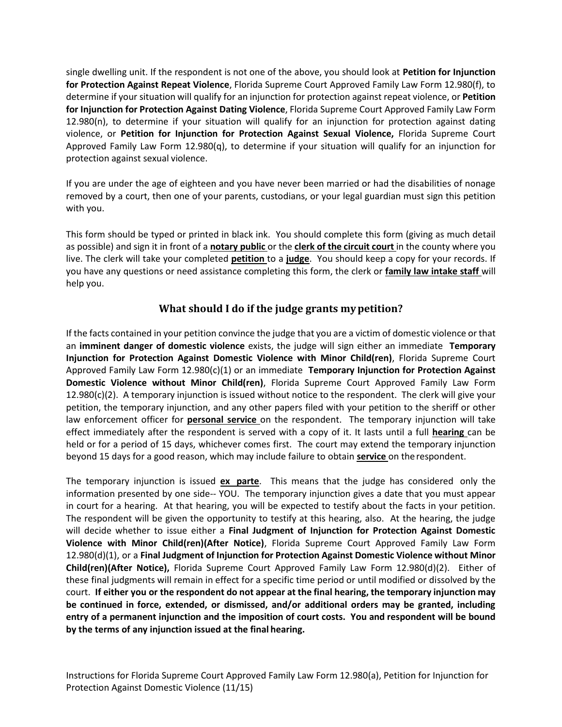single dwelling unit. If the respondent is not one of the above, you should look at **Petition for Injunction for Protection Against Repeat Violence**, Florida Supreme Court Approved Family Law Form 12.980(f), to determine if your situation will qualify for an injunction for protection against repeat violence, or **Petition for Injunction for Protection Against Dating Violence**, Florida Supreme Court Approved Family Law Form 12.980(n), to determine if your situation will qualify for an injunction for protection against dating  violence, or **Petition for Injunction for Protection Against Sexual Violence,** Florida Supreme Court Approved Family Law Form 12.980(q), to determine if your situation will qualify for an injunction for protection against sexual violence.

 If you are under the age of eighteen and you have never been married or had the disabilities of nonage removed by a court, then one of your parents, custodians, or your legal guardian must sign this petition with you.

 This form should be typed or printed in black ink. You should complete this form (giving as much detail as possible) and sign it in front of a **notary public** or the **clerk of the circuit court** in the county where you live. The clerk will take your completed **petition** to a **judge**. You should keep a copy for your records. If you have any questions or need assistance completing this form, the clerk or **family law intake staff** will help you.

# **What should I do if the judge grants my petition?**

 If the facts contained in your petition convince the judge that you are a victim of domestic violence or that  an **imminent danger of domestic violence** exists, the judge will sign either an immediate **Temporary Injunction for Protection Against Domestic Violence with Minor Child(ren)**, Florida Supreme Court Approved Family Law Form 12.980(c)(1) or an immediate **Temporary Injunction for Protection Against Domestic Violence without Minor Child(ren)**, Florida Supreme Court Approved Family Law Form petition, the temporary injunction, and any other papers filed with your petition to the sheriff or other law enforcement officer for **personal service** on the respondent. The temporary injunction will take effect immediately after the respondent is served with a copy of it. It lasts until a full **hearing** can be held or for a period of 15 days, whichever comes first. The court may extend the temporary injunction beyond 15 days for a good reason, which may include failure to obtain **service** on the respondent.  $12.980(c)(2)$ . A temporary injunction is issued without notice to the respondent. The clerk will give your

 The temporary injunction is issued **ex parte**. This means that the judge has considered only the information presented by one side-- YOU. The temporary injunction gives a date that you must appear in court for a hearing. At that hearing, you will be expected to testify about the facts in your petition. The respondent will be given the opportunity to testify at this hearing, also. At the hearing, the judge  will decide whether to issue either a **Final Judgment of Injunction for Protection Against Domestic Violence with Minor Child(ren)(After Notice)**, Florida Supreme Court Approved Family Law Form  12.980(d)(1), or a **Final Judgment of Injunction for Protection Against Domestic Violence without Minor Child(ren)(After Notice),** Florida Supreme Court Approved Family Law Form 12.980(d)(2). Either of these final judgments will remain in effect for a specific time period or until modified or dissolved by the  court. **If either you or the respondent do not appear at the final hearing, the temporary injunction may be continued in force, extended, or dismissed, and/or additional orders may be granted, including entry of a permanent injunction and the imposition of court costs. You and respondent will be bound by the terms of any injunction issued at the final hearing.**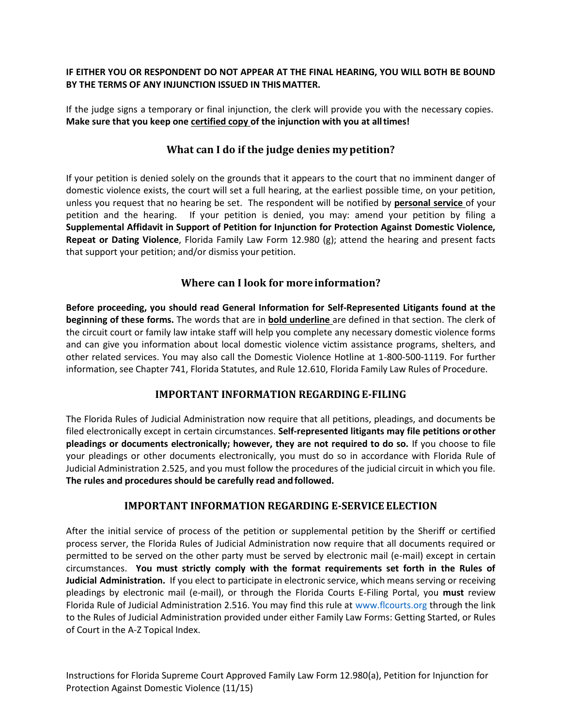### **IF EITHER YOU OR RESPONDENT DO NOT APPEAR AT THE FINAL HEARING, YOU WILL BOTH BE BOUND BY THE TERMS OF ANY INJUNCTION ISSUED IN THIS MATTER.**

 If the judge signs a temporary or final injunction, the clerk will provide you with the necessary copies.  **Make sure that you keep one certified copy of the injunction with you at all times!** 

## **What can I do if the judge denies my petition?**

 If your petition is denied solely on the grounds that it appears to the court that no imminent danger of domestic violence exists, the court will set a full hearing, at the earliest possible time, on your petition, unless you request that no hearing be set. The respondent will be notified by **personal service** of your petition and the hearing.  **Supplemental Affidavit in Support of Petition for Injunction for Protection Against Domestic Violence, Repeat or Dating Violence**, Florida Family Law Form 12.980 (g); attend the hearing and present facts If your petition is denied, you may: amend your petition by filing a that support your petition; and/or dismiss your petition.

# **Where can I look for more information?**

 **Before proceeding, you should read General Information for Self-Represented Litigants found at the beginning of these forms.** The words that are in **bold underline** are defined in that section. The clerk of the circuit court or family law intake staff will help you complete any necessary domestic violence forms and can give you information about local domestic violence victim assistance programs, shelters, and other related services. You may also call the Domestic Violence Hotline at 1-800-500-1119. For further information, see Chapter 741, Florida Statutes, and Rule 12.610, Florida Family Law Rules of Procedure.

# **IMPORTANT INFORMATION REGARDING E-FILING**

 The Florida Rules of Judicial Administration now require that all petitions, pleadings, and documents be filed electronically except in certain circumstances. **Self-represented litigants may file petitions or other pleadings or documents electronically; however, they are not required to do so.** If you choose to file your pleadings or other documents electronically, you must do so in accordance with Florida Rule of Judicial Administration 2.525, and you must follow the procedures of the judicial circuit in which you file.  **The rules and procedures should be carefully read and followed.** 

# **IMPORTANT INFORMATION REGARDING E-SERVICE ELECTION**

 After the initial service of process of the petition or supplemental petition by the Sheriff or certified process server, the Florida Rules of Judicial Administration now require that all documents required or permitted to be served on the other party must be served by electronic mail (e-mail) except in certain  circumstances. **You must strictly comply with the format requirements set forth in the Rules of Judicial Administration.** If you elect to participate in electronic service, which means serving or receiving pleadings by electronic mail (e-mail), or through the Florida Courts E-Filing Portal, you **must** review Florida Rule of Judicial Administration 2.516. You may find this rule at [www.flcourts.org](http://www.flcourts.org/) through the link to the Rules of Judicial Administration provided under either Family Law Forms: Getting Started, or Rules of Court in the A-Z Topical Index.

 Protection Against Domestic Violence (11/15) Instructions for Florida Supreme Court Approved Family Law Form 12.980(a), Petition for Injunction for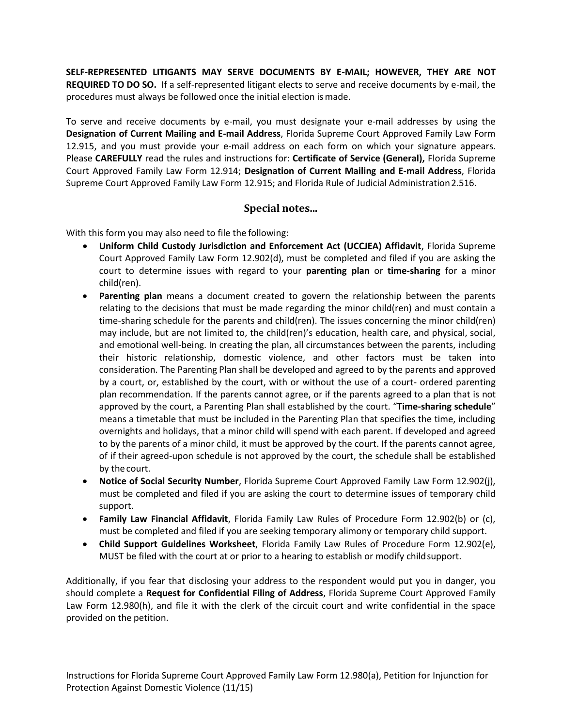**SELF-REPRESENTED LITIGANTS MAY SERVE DOCUMENTS BY E-MAIL; HOWEVER, THEY ARE NOT REQUIRED TO DO SO.** If a self-represented litigant elects to serve and receive documents by e-mail, the procedures must always be followed once the initial election is made.

 To serve and receive documents by e-mail, you must designate your e-mail addresses by using the  **Designation of Current Mailing and E-mail Address**, Florida Supreme Court Approved Family Law Form 12.915, and you must provide your e-mail address on each form on which your signature appears. Court Approved Family Law Form 12.914; **Designation of Current Mailing and E-mail Address**, Florida Supreme Court Approved Family Law Form 12.915; and Florida Rule of Judicial Administration 2.516. Please **CAREFULLY** read the rules and instructions for: **Certificate of Service (General),** Florida Supreme

## **Special notes...**

With this form you may also need to file the following:

- **Uniform Child Custody Jurisdiction and Enforcement Act (UCCJEA) Affidavit**, Florida Supreme Court Approved Family Law Form 12.902(d), must be completed and filed if you are asking the court to determine issues with regard to your **parenting plan** or **time-sharing** for a minor child(ren).
- **Parenting plan** means a document created to govern the relationship between the parents relating to the decisions that must be made regarding the minor child(ren) and must contain a may include, but are not limited to, the child(ren)'s education, health care, and physical, social, and emotional well-being. In creating the plan, all circumstances between the parents, including their historic relationship, domestic violence, and other factors must be taken into consideration. The Parenting Plan shall be developed and agreed to by the parents and approved plan recommendation. If the parents cannot agree, or if the parents agreed to a plan that is not approved by the court, a Parenting Plan shall established by the court; "**Time-sharing schedule**" means a timetable that must be included in the Parenting Plan that specifies the time, including overnights and holidays, that a minor child will spend with each parent. If developed and agreed of if their agreed-upon schedule is not approved by the court, the schedule shall be established time-sharing schedule for the parents and child(ren). The issues concerning the minor child(ren) by a court, or, established by the court, with or without the use of a court- ordered parenting to by the parents of a minor child, it must be approved by the court. If the parents cannot agree, by the court.
- **Notice of Social Security Number**, Florida Supreme Court Approved Family Law Form 12.902(j), must be completed and filed if you are asking the court to determine issues of temporary child support.
- **Family Law Financial Affidavit**, Florida Family Law Rules of Procedure Form 12.902(b) or (c), must be completed and filed if you are seeking temporary alimony or temporary child support.
- **Child Support Guidelines Worksheet**, Florida Family Law Rules of Procedure Form 12.902(e), MUST be filed with the court at or prior to a hearing to establish or modify childsupport.

 Additionally, if you fear that disclosing your address to the respondent would put you in danger, you  should complete a **Request for Confidential Filing of Address**, Florida Supreme Court Approved Family Law Form 12.980(h), and file it with the clerk of the circuit court and write confidential in the space provided on the petition.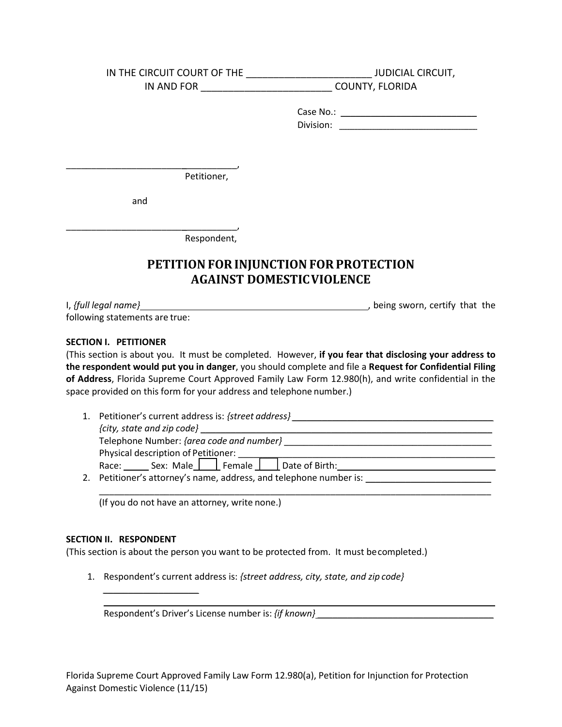| IN THE CIRCUIT COURT OF THE | <b>JUDICIAL CIRCUIT,</b>                                                                               |
|-----------------------------|--------------------------------------------------------------------------------------------------------|
| IN AND FOR                  | <b>COUNTY, FLORIDA</b>                                                                                 |
|                             | Division:<br>the control of the control of the control of the control of the control of the control of |
| Petitioner,<br>and          |                                                                                                        |
| Respondent,                 |                                                                                                        |

# **PETITION FOR INJUNCTION FOR PROTECTION AGAINST DOMESTICVIOLENCE**

| I, {full legal name}           | being sworn, certify that the |  |  |
|--------------------------------|-------------------------------|--|--|
| following statements are true: |                               |  |  |

#### **SECTION I. PETITIONER**

 (This section is about you. It must be completed. However, **if you fear that disclosing your address to of Address**, Florida Supreme Court Approved Family Law Form 12.980(h), and write confidential in the space provided on this form for your address and telephone number.) **the respondent would put you in danger**, you should complete and file a **Request for Confidential Filing** 

 1. Petitioner's current address is: *{street address} \_\_\_\_\_\_\_\_\_\_\_\_\_\_\_\_\_\_\_\_\_\_\_\_\_\_\_\_\_\_\_\_\_\_\_\_\_\_\_\_ {city, state and zip code}* \_\_\_\_\_\_\_\_\_\_\_\_\_\_\_\_\_\_\_\_\_\_\_\_\_\_\_\_\_\_\_\_\_\_\_\_\_\_\_\_\_\_\_\_\_\_\_\_\_\_\_\_\_\_\_\_\_\_ 2. Petitioner's attorney's name, address, and telephone number is: \_\_\_\_\_\_\_\_\_\_\_\_\_\_ Telephone Number: *{area code and number}* \_\_\_\_\_\_\_\_\_\_\_\_\_\_\_\_\_\_\_\_\_\_\_\_\_\_\_\_\_\_\_\_\_\_\_\_\_\_\_\_\_\_ Physical description of Petitioner: \_\_\_\_\_\_\_\_\_\_\_\_\_\_\_\_\_\_\_\_\_\_\_\_\_\_\_\_\_\_\_\_\_\_\_\_\_\_\_\_\_\_\_\_\_\_\_\_\_\_\_\_ Race: \_\_\_\_\_ Sex: Male \_\_\_\_\_ Female \_\_\_\_\_ Date of Birth: \_\_\_\_\_\_\_\_\_\_\_\_\_\_\_\_\_\_\_\_\_\_\_\_\_\_\_\_\_\_\_

\_\_\_\_\_\_\_\_\_\_\_\_\_\_\_\_\_\_\_\_\_\_\_\_\_\_\_\_\_\_\_\_\_\_\_\_\_\_\_\_\_\_\_\_\_\_\_\_\_\_\_\_\_\_\_\_\_\_\_\_\_\_\_\_\_\_\_\_\_\_\_\_\_\_\_\_\_\_

\_\_\_\_\_\_\_ \_\_\_\_\_\_\_\_\_\_\_\_\_\_\_\_\_\_\_\_\_\_\_\_\_\_\_\_\_\_\_\_\_\_\_\_\_\_\_\_\_\_\_\_\_\_\_\_\_\_\_\_\_\_\_\_\_\_\_\_\_\_\_\_\_\_\_\_\_\_

(If you do not have an attorney, write none.)

#### **SECTION II. RESPONDENT**

*\_\_\_\_\_\_\_\_\_\_\_\_\_\_\_\_\_\_\_*

(This section is about the person you want to be protected from. It must becompleted.)

 1. Respondent's current address is: *{street address, city, state, and zip code}*

Respondent's Driver's License number is: {if known} \_\_\_\_\_\_\_\_\_\_\_\_\_\_\_\_\_\_\_\_\_\_\_\_\_\_\_\_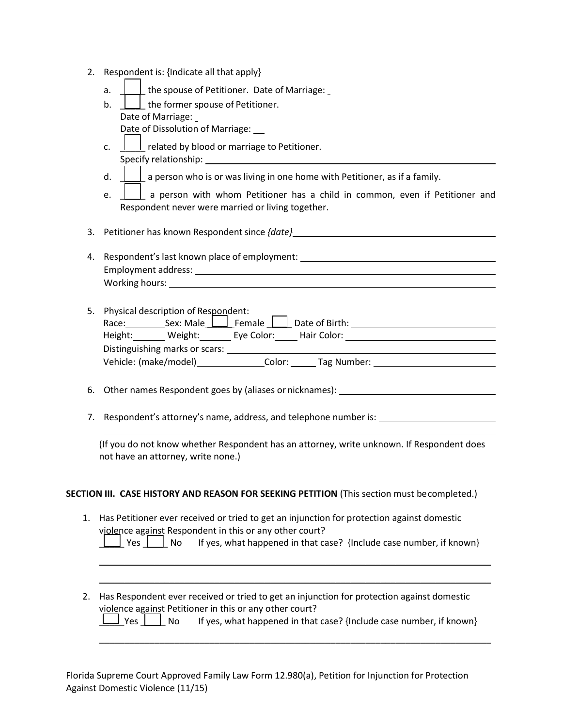- 2. Respondent is: {Indicate all that apply}
	- a.  $\Box$  the spouse of Petitioner. Date of Marriage:
	- b.  $\Box$  the former spouse of Petitioner. Date of Marriage: Date of Dissolution of Marriage:
	- c.  $\perp$  related by blood or marriage to Petitioner. Specify relationship:
	- d.  $\Box$  a person who is or was living in one home with Petitioner, as if a family.
	- e.  $\Box$  a person with whom Petitioner has a child in common, even if Petitioner and Respondent never were married or living together.

3. Petitioner has known Respondent since *{date}* 

4. Respondent's last known place of employment: Employment address: Working hours:

|                 | 5. Physical description of Respondent:                |                        |        |             |  |  |
|-----------------|-------------------------------------------------------|------------------------|--------|-------------|--|--|
| Race:           | Sex: Male $\boxed{\phantom{a}}$ Female Date of Birth: |                        |        |             |  |  |
| Height: Weight: |                                                       | Eye Color: Hair Color: |        |             |  |  |
|                 | Distinguishing marks or scars:                        |                        |        |             |  |  |
|                 | Vehicle: (make/model)                                 |                        | Color: | Tag Number: |  |  |
|                 |                                                       |                        |        |             |  |  |

6. Other names Respondent goes by (aliases or nicknames):

 $\overline{a}$ 

7. Respondent's attorney's name, address, and telephone number is:

 not have an attorney, write none.) (If you do not know whether Respondent has an attorney, write unknown. If Respondent does

#### **SECTION III. CASE HISTORY AND REASON FOR SEEKING PETITION** (This section must becompleted.)

1. Has Petitioner ever received or tried to get an injunction for protection against domestic violence against Respondent in this or any other court?

|  |  | $\perp$ Yes $\perp$ No If yes, what happened in that case? {Include case number, if known} |  |
|--|--|--------------------------------------------------------------------------------------------|--|
|--|--|--------------------------------------------------------------------------------------------|--|

\_\_\_\_\_\_\_\_\_\_\_\_\_\_\_\_\_\_\_\_\_\_\_\_\_\_\_\_\_\_\_\_\_\_\_\_\_\_\_\_\_\_\_\_\_\_\_\_\_\_\_\_\_\_\_\_\_\_\_\_\_\_\_\_\_\_\_\_\_\_\_\_\_\_\_\_\_\_ \_\_\_\_\_\_\_\_\_\_\_\_\_\_\_\_\_\_\_\_\_\_\_\_\_\_\_\_\_\_\_\_\_\_\_\_\_\_\_\_\_\_\_\_\_\_\_\_\_\_\_\_\_\_\_\_\_\_\_\_\_\_\_\_\_\_\_\_\_\_\_\_\_\_\_\_\_\_

\_\_\_\_\_ Yes \_\_\_\_\_ No If yes, what happened in that case? {Include case number, if known} 2. Has Respondent ever received or tried to get an injunction for protection against domestic violence against Petitioner in this or any other court?

|  |  |  |  | $\boxed{\underline{\qquad}}$ Yes $\boxed{\phantom{\qquad}}$ No If yes, what happened in that case? {Include case number, if known} |
|--|--|--|--|------------------------------------------------------------------------------------------------------------------------------------|
|--|--|--|--|------------------------------------------------------------------------------------------------------------------------------------|

\_\_\_\_\_\_\_\_\_\_\_\_\_\_\_\_\_\_\_\_\_\_\_\_\_\_\_\_\_\_\_\_\_\_\_\_\_\_\_\_\_\_\_\_\_\_\_\_\_\_\_\_\_\_\_\_\_\_\_\_\_\_\_\_\_\_\_\_\_\_\_\_\_\_\_\_\_\_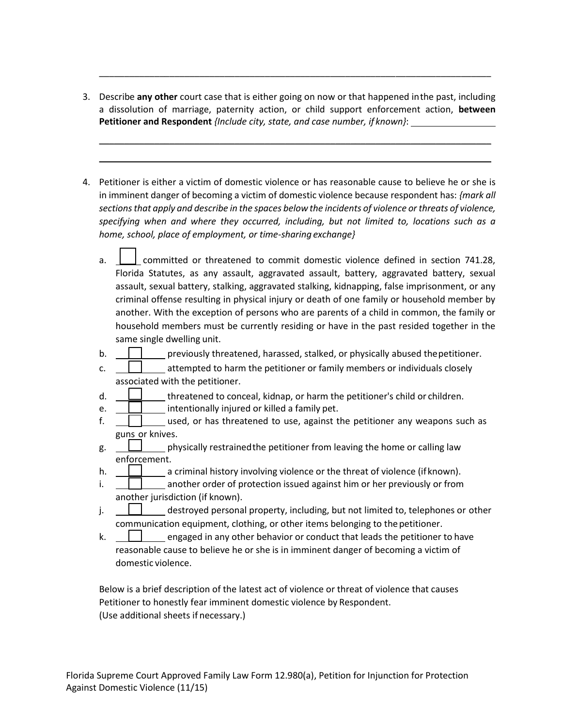a dissolution of marriage, paternity action, or child support enforcement action, **between**  3. Describe **any other** court case that is either going on now or that happened inthe past, including **Petitioner and Respondent** *{Include city, state, and case number, if known}*:

\_\_\_\_\_\_\_\_\_\_\_\_\_\_\_\_\_\_\_\_\_\_\_\_\_\_\_\_\_\_\_\_\_\_\_\_\_\_\_\_\_\_\_\_\_\_\_\_\_\_\_\_\_\_\_\_\_\_\_\_\_\_\_\_\_\_\_\_\_\_\_\_\_\_\_\_\_\_ \_\_\_\_\_\_\_\_\_\_\_\_\_\_\_\_\_\_\_\_\_\_\_\_\_\_\_\_\_\_\_\_\_\_\_\_\_\_\_\_\_\_\_\_\_\_\_\_\_\_\_\_\_\_\_\_\_\_\_\_\_\_\_\_\_\_\_\_\_\_\_\_\_\_\_\_\_\_

\_\_\_\_\_\_\_\_\_\_\_\_\_\_\_\_\_\_\_\_\_\_\_\_\_\_\_\_\_\_\_\_\_\_\_\_\_\_\_\_\_\_\_\_\_\_\_\_\_\_\_\_\_\_\_\_\_\_\_\_\_\_\_\_\_\_\_\_\_\_\_\_\_\_\_\_\_\_

- in imminent danger of becoming a victim of domestic violence because respondent has: *{mark all sections that apply and describe in the spaces below the incidents of violence or threats of violence, specifying when and where they occurred, including, but not limited to, locations such as a*  4. Petitioner is either a victim of domestic violence or has reasonable cause to believe he or she is *home, school, place of employment, or time-sharing exchange}* 
	- $\overline{a}$  Florida Statutes, as any assault, aggravated assault, battery, aggravated battery, sexual criminal offense resulting in physical injury or death of one family or household member by another. With the exception of persons who are parents of a child in common, the family or household members must be currently residing or have in the past resided together in the same single dwelling unit. a. **committed or threatened to commit domestic violence defined in section 741.28,** assault, sexual battery, stalking, aggravated stalking, kidnapping, false imprisonment, or any
	- b. **| | |** previously threatened, harassed, stalked, or physically abused thepetitioner.
	- associated with the petitioner. c.  $\Box$  attempted to harm the petitioner or family members or individuals closely
	- d.  $\Box$  threatened to conceal, kidnap, or harm the petitioner's child or children.
	- e.  $\Box$  intentionally injured or killed a family pet.
	- f.  $\Box$  used, or has threatened to use, against the petitioner any weapons such as guns or knives.
	- g. physically restrainedthe petitioner from leaving the home or calling law enforcement.
	- h.  $\Box$  a criminal history involving violence or the threat of violence (if known).
	- i. <u>\_\_\_\_\_\_\_\_\_\_\_\_\_</u> another order of protection issued against him or her previously or from another jurisdiction (if known).
	- j.  $\Box$  destroyed personal property, including, but not limited to, telephones or other communication equipment, clothing, or other items belonging to the petitioner.
	- k.  $\|\cdot\|$  engaged in any other behavior or conduct that leads the petitioner to have reasonable cause to believe he or she is in imminent danger of becoming a victim of domestic violence.

 (Use additional sheets if necessary.) Below is a brief description of the latest act of violence or threat of violence that causes Petitioner to honestly fear imminent domestic violence by Respondent.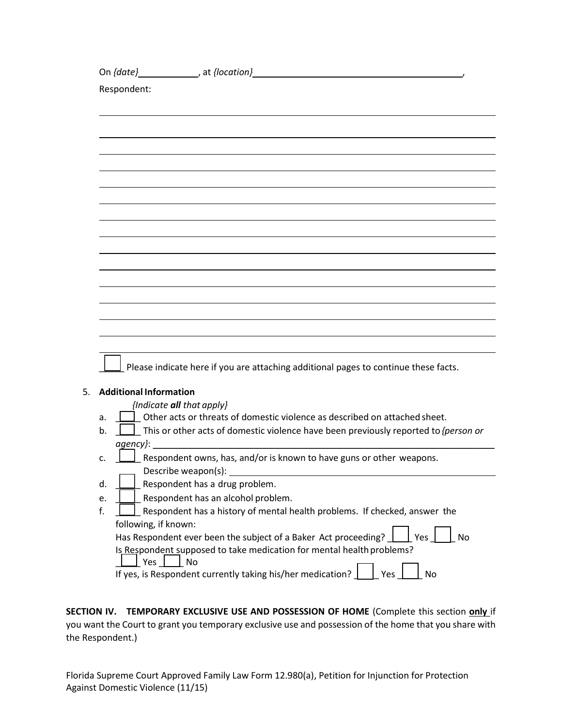|                               | On {date}_________________, at {location}_                                                              |
|-------------------------------|---------------------------------------------------------------------------------------------------------|
| Respondent:                   |                                                                                                         |
|                               |                                                                                                         |
|                               |                                                                                                         |
|                               |                                                                                                         |
|                               |                                                                                                         |
|                               |                                                                                                         |
|                               |                                                                                                         |
|                               |                                                                                                         |
|                               |                                                                                                         |
|                               |                                                                                                         |
|                               |                                                                                                         |
|                               |                                                                                                         |
|                               |                                                                                                         |
|                               |                                                                                                         |
|                               |                                                                                                         |
|                               |                                                                                                         |
|                               | Please indicate here if you are attaching additional pages to continue these facts.                     |
|                               |                                                                                                         |
| <b>Additional Information</b> |                                                                                                         |
|                               | {Indicate all that apply}<br>Other acts or threats of domestic violence as described on attached sheet. |
| a.<br>b.                      | This or other acts of domestic violence have been previously reported to <i>{person or</i>              |
| agency}:                      |                                                                                                         |
| C <sub>1</sub>                | Respondent owns, has, and/or is known to have guns or other weapons.                                    |
|                               | Describe weapon(s):                                                                                     |
| d.                            | Respondent has a drug problem.                                                                          |
| e.                            | Respondent has an alcohol problem.                                                                      |
| f.                            | Respondent has a history of mental health problems. If checked, answer the                              |
| following, if known:          | Has Respondent ever been the subject of a Baker Act proceeding?<br>No<br>Yes                            |
|                               | Is Respondent supposed to take medication for mental health problems?                                   |
| Yes                           | No                                                                                                      |
|                               | If yes, is Respondent currently taking his/her medication?<br>No<br>Yes                                 |

 **SECTION IV. TEMPORARY EXCLUSIVE USE AND POSSESSION OF HOME** (Complete this section **only** if you want the Court to grant you temporary exclusive use and possession of the home that you share with the Respondent.)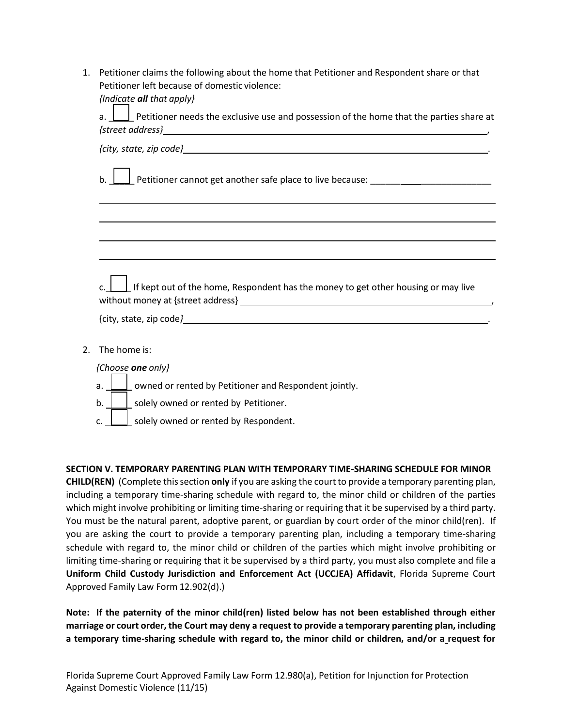| 1. Petitioner claims the following about the home that Petitioner and Respondent share or that |
|------------------------------------------------------------------------------------------------|
| Petitioner left because of domestic violence:                                                  |
| {Indicate <b>all</b> that apply}                                                               |

|    | $\Box$ Petitioner needs the exclusive use and possession of the home that the parties share at<br>a.<br>$\{street\ address\}$                                                                                                     |
|----|-----------------------------------------------------------------------------------------------------------------------------------------------------------------------------------------------------------------------------------|
|    |                                                                                                                                                                                                                                   |
|    | Petitioner cannot get another safe place to live because: ______________________<br>b.                                                                                                                                            |
|    | ,我们也不会有什么。""我们的人,我们也不会有什么?""我们的人,我们也不会有什么?""我们的人,我们也不会有什么?""我们的人,我们也不会有什么?""我们的人                                                                                                                                                  |
|    |                                                                                                                                                                                                                                   |
|    |                                                                                                                                                                                                                                   |
|    | c. $\boxed{\phantom{a}}$ If kept out of the home, Respondent has the money to get other housing or may live                                                                                                                       |
|    |                                                                                                                                                                                                                                   |
| 2. | The home is:                                                                                                                                                                                                                      |
|    | {Choose one only}                                                                                                                                                                                                                 |
|    | a. $\Box$ owned or rented by Petitioner and Respondent jointly.                                                                                                                                                                   |
|    | $\mathbf{r}$ , and the contract of the contract of the contract of the contract of the contract of the contract of the contract of the contract of the contract of the contract of the contract of the contract of the contract o |

- $\perp$  solely owned or rented by Petitioner.
- $\Box$  solely owned or rented by Respondent.

### **SECTION V. TEMPORARY PARENTING PLAN WITH TEMPORARY TIME-SHARING SCHEDULE FOR MINOR**

 **CHILD(REN)** (Complete this section **only** if you are asking the court to provide a temporary parenting plan, including a temporary time-sharing schedule with regard to, the minor child or children of the parties which might involve prohibiting or limiting time-sharing or requiring that it be supervised by a third party. You must be the natural parent, adoptive parent, or guardian by court order of the minor child(ren). If you are asking the court to provide a temporary parenting plan, including a temporary time-sharing schedule with regard to, the minor child or children of the parties which might involve prohibiting or limiting time-sharing or requiring that it be supervised by a third party, you must also complete and file a  **Uniform Child Custody Jurisdiction and Enforcement Act (UCCJEA) Affidavit**, Florida Supreme Court Approved Family Law Form 12.902(d).)

 **Note: If the paternity of the minor child(ren) listed below has not been established through either marriage or court order, the Court may deny a request to provide a temporary parenting plan, including a temporary time-sharing schedule with regard to, the minor child or children, and/or a request for**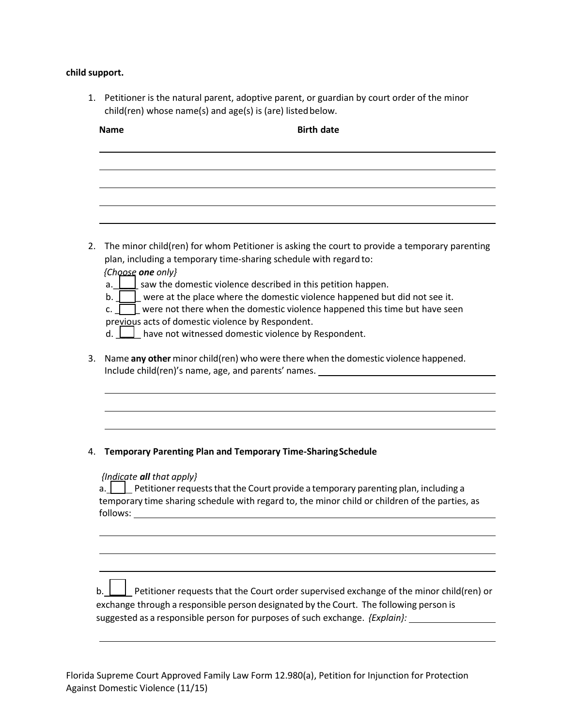# **child support.**

1. Petitioner is the natural parent, adoptive parent, or guardian by court order of the minor child(ren) whose name(s) and age(s) is (are) listed below.

| The minor child(ren) for whom Petitioner is asking the court to provide a temporary parenting<br>2.<br>plan, including a temporary time-sharing schedule with regard to:<br>{Choose one only}<br>a. $\Box$ saw the domestic violence described in this petition happen.<br>$\mathsf{b}$ . $\Box$ were at the place where the domestic violence happened but did not see it.<br>were not there when the domestic violence happened this time but have seen<br>c. I<br>previous acts of domestic violence by Respondent.<br>d. $\Box$ have not witnessed domestic violence by Respondent.<br>Name any other minor child(ren) who were there when the domestic violence happened.<br>3.<br>Include child(ren)'s name, age, and parents' names. The manuscript of the manuscript of the manuscript of the<br><b>Temporary Parenting Plan and Temporary Time-Sharing Schedule</b><br>4.<br>{Indicate all that apply}<br><b>EXECUTE:</b> Petitioner requests that the Court provide a temporary parenting plan, including a<br>a. I<br>temporary time sharing schedule with regard to, the minor child or children of the parties, as<br>follows:<br>Petitioner requests that the Court order supervised exchange of the minor child(ren) or<br>exchange through a responsible person designated by the Court. The following person is | <b>Name</b> | <b>Birth date</b>                                                                                   |  |
|----------------------------------------------------------------------------------------------------------------------------------------------------------------------------------------------------------------------------------------------------------------------------------------------------------------------------------------------------------------------------------------------------------------------------------------------------------------------------------------------------------------------------------------------------------------------------------------------------------------------------------------------------------------------------------------------------------------------------------------------------------------------------------------------------------------------------------------------------------------------------------------------------------------------------------------------------------------------------------------------------------------------------------------------------------------------------------------------------------------------------------------------------------------------------------------------------------------------------------------------------------------------------------------------------------------------------------|-------------|-----------------------------------------------------------------------------------------------------|--|
|                                                                                                                                                                                                                                                                                                                                                                                                                                                                                                                                                                                                                                                                                                                                                                                                                                                                                                                                                                                                                                                                                                                                                                                                                                                                                                                                  |             |                                                                                                     |  |
|                                                                                                                                                                                                                                                                                                                                                                                                                                                                                                                                                                                                                                                                                                                                                                                                                                                                                                                                                                                                                                                                                                                                                                                                                                                                                                                                  |             |                                                                                                     |  |
|                                                                                                                                                                                                                                                                                                                                                                                                                                                                                                                                                                                                                                                                                                                                                                                                                                                                                                                                                                                                                                                                                                                                                                                                                                                                                                                                  |             |                                                                                                     |  |
|                                                                                                                                                                                                                                                                                                                                                                                                                                                                                                                                                                                                                                                                                                                                                                                                                                                                                                                                                                                                                                                                                                                                                                                                                                                                                                                                  |             |                                                                                                     |  |
|                                                                                                                                                                                                                                                                                                                                                                                                                                                                                                                                                                                                                                                                                                                                                                                                                                                                                                                                                                                                                                                                                                                                                                                                                                                                                                                                  |             |                                                                                                     |  |
|                                                                                                                                                                                                                                                                                                                                                                                                                                                                                                                                                                                                                                                                                                                                                                                                                                                                                                                                                                                                                                                                                                                                                                                                                                                                                                                                  |             |                                                                                                     |  |
|                                                                                                                                                                                                                                                                                                                                                                                                                                                                                                                                                                                                                                                                                                                                                                                                                                                                                                                                                                                                                                                                                                                                                                                                                                                                                                                                  |             |                                                                                                     |  |
|                                                                                                                                                                                                                                                                                                                                                                                                                                                                                                                                                                                                                                                                                                                                                                                                                                                                                                                                                                                                                                                                                                                                                                                                                                                                                                                                  |             |                                                                                                     |  |
|                                                                                                                                                                                                                                                                                                                                                                                                                                                                                                                                                                                                                                                                                                                                                                                                                                                                                                                                                                                                                                                                                                                                                                                                                                                                                                                                  |             |                                                                                                     |  |
|                                                                                                                                                                                                                                                                                                                                                                                                                                                                                                                                                                                                                                                                                                                                                                                                                                                                                                                                                                                                                                                                                                                                                                                                                                                                                                                                  |             |                                                                                                     |  |
|                                                                                                                                                                                                                                                                                                                                                                                                                                                                                                                                                                                                                                                                                                                                                                                                                                                                                                                                                                                                                                                                                                                                                                                                                                                                                                                                  |             |                                                                                                     |  |
|                                                                                                                                                                                                                                                                                                                                                                                                                                                                                                                                                                                                                                                                                                                                                                                                                                                                                                                                                                                                                                                                                                                                                                                                                                                                                                                                  |             |                                                                                                     |  |
|                                                                                                                                                                                                                                                                                                                                                                                                                                                                                                                                                                                                                                                                                                                                                                                                                                                                                                                                                                                                                                                                                                                                                                                                                                                                                                                                  |             |                                                                                                     |  |
|                                                                                                                                                                                                                                                                                                                                                                                                                                                                                                                                                                                                                                                                                                                                                                                                                                                                                                                                                                                                                                                                                                                                                                                                                                                                                                                                  |             |                                                                                                     |  |
|                                                                                                                                                                                                                                                                                                                                                                                                                                                                                                                                                                                                                                                                                                                                                                                                                                                                                                                                                                                                                                                                                                                                                                                                                                                                                                                                  |             |                                                                                                     |  |
|                                                                                                                                                                                                                                                                                                                                                                                                                                                                                                                                                                                                                                                                                                                                                                                                                                                                                                                                                                                                                                                                                                                                                                                                                                                                                                                                  |             |                                                                                                     |  |
|                                                                                                                                                                                                                                                                                                                                                                                                                                                                                                                                                                                                                                                                                                                                                                                                                                                                                                                                                                                                                                                                                                                                                                                                                                                                                                                                  |             |                                                                                                     |  |
|                                                                                                                                                                                                                                                                                                                                                                                                                                                                                                                                                                                                                                                                                                                                                                                                                                                                                                                                                                                                                                                                                                                                                                                                                                                                                                                                  |             |                                                                                                     |  |
|                                                                                                                                                                                                                                                                                                                                                                                                                                                                                                                                                                                                                                                                                                                                                                                                                                                                                                                                                                                                                                                                                                                                                                                                                                                                                                                                  |             |                                                                                                     |  |
|                                                                                                                                                                                                                                                                                                                                                                                                                                                                                                                                                                                                                                                                                                                                                                                                                                                                                                                                                                                                                                                                                                                                                                                                                                                                                                                                  |             | suggested as a responsible person for purposes of such exchange. {Explain}: _______________________ |  |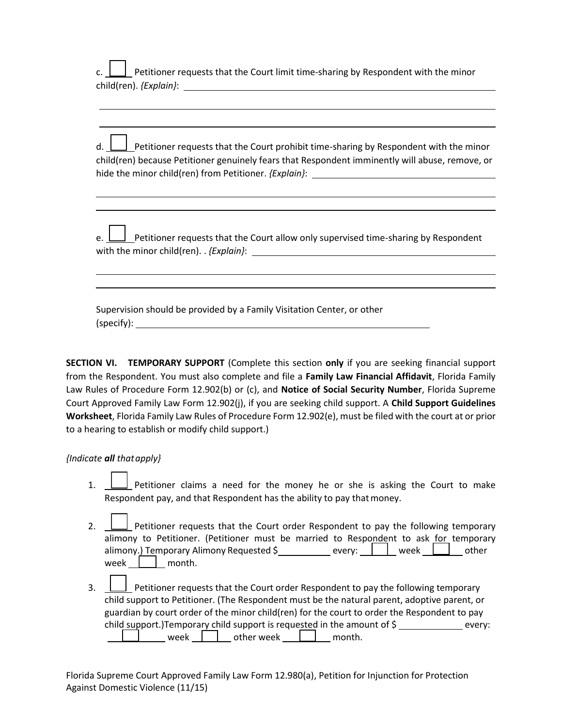child(ren). *{Explain}*: Petitioner requests that the Court limit time-sharing by Respondent with the minor

 $d.$  hide the minor child(ren) from Petitioner. *{Explain}*: Petitioner requests that the Court prohibit time-sharing by Respondent with the minor child(ren) because Petitioner genuinely fears that Respondent imminently will abuse, remove, or

 with the minor child(ren). . *{Explain}*:  $\Box$  Petitioner requests that the Court allow only supervised time-sharing by Respondent

 Supervision should be provided by a Family Visitation Center, or other (specify):

 **SECTION VI. TEMPORARY SUPPORT** (Complete this section **only** if you are seeking financial support from the Respondent. You must also complete and file a **Family Law Financial Affidavit**, Florida Family Law Rules of Procedure Form 12.902(b) or (c), and **Notice of Social Security Number**, Florida Supreme Court Approved Family Law Form 12.902(j), if you are seeking child support. A **Child Support Guidelines Worksheet**, Florida Family Law Rules of Procedure Form 12.902(e), must be filed with the court at or prior to a hearing to establish or modify child support.)

### *{Indicate all thatapply}*

 $\overline{\phantom{0}}$ 

 $\overline{a}$  $\overline{a}$ 

  $\overline{a}$ 

- $1.$  Respondent pay, and that Respondent has the ability to pay that money.  $\perp$  Petitioner claims a need for the money he or she is asking the Court to make
- $2.$ alimony to Petitioner. (Petitioner must be married to Respondent to ask for temporary alimony.<u>) Te</u>mporary Alimony Requested \$\_\_\_\_\_\_\_\_\_\_\_\_ every: \_\_\_<mark>\_\_\_\_\_</mark>\_\_ week \_\_\_\_\_\_\_\_\_ other week <u>\_\_\_\_\_\_</u> month. 2. Petitioner requests that the Court order Respondent to pay the following temporary
- $\overline{\phantom{0}}$  guardian by court order of the minor child(ren) for the court to order the Respondent to pay child support.)Temporary child support is requested in the amount of  $\zeta$  \_\_\_\_\_\_\_\_\_\_\_\_\_\_ every: L 3. Petitioner requests that the Court order Respondent to pay the following temporary child support to Petitioner. (The Respondent must be the natural parent, adoptive parent, or  $\Box$  week  $\Box$  other week  $\Box$  month.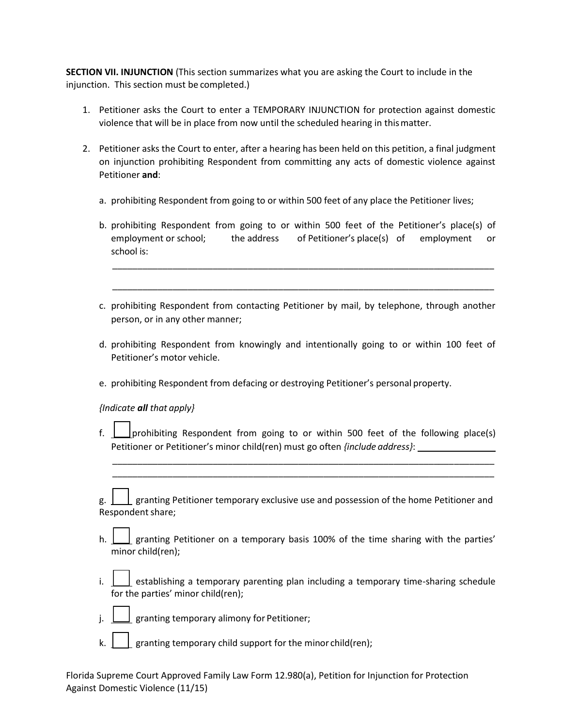injunction. This section must be completed.) **SECTION VII. INJUNCTION** (This section summarizes what you are asking the Court to include in the

- 1. Petitioner asks the Court to enter a TEMPORARY INJUNCTION for protection against domestic violence that will be in place from now until the scheduled hearing in this matter.
- 2. Petitioner asks the Court to enter, after a hearing has been held on this petition, a final judgment on injunction prohibiting Respondent from committing any acts of domestic violence against Petitioner **and**:
	- a. prohibiting Respondent from going to or within 500 feet of any place the Petitioner lives;
	- b. prohibiting Respondent from going to or within 500 feet of the Petitioner's place(s) of employment or school; school is: the address of Petitioner's place(s) of employment or

\_\_\_\_\_\_\_\_\_\_\_\_\_\_\_\_\_\_\_\_\_\_\_\_\_\_\_\_\_\_\_\_\_\_\_\_\_\_\_\_\_\_\_\_\_\_\_\_\_\_\_\_\_\_\_\_\_\_\_\_\_\_\_\_\_\_\_\_\_\_\_\_\_\_\_\_

\_\_\_\_\_\_\_\_\_\_\_\_\_\_\_\_\_\_\_\_\_\_\_\_\_\_\_\_\_\_\_\_\_\_\_\_\_\_\_\_\_\_\_\_\_\_\_\_\_\_\_\_\_\_\_\_\_\_\_\_\_\_\_\_\_\_\_\_\_\_\_\_\_\_\_\_

- c. prohibiting Respondent from contacting Petitioner by mail, by telephone, through another person, or in any other manner;
- d. prohibiting Respondent from knowingly and intentionally going to or within 100 feet of Petitioner's motor vehicle.
- e. prohibiting Respondent from defacing or destroying Petitioner's personal property.

 *{Indicate all that apply}* 

 Petitioner or Petitioner's minor child(ren) must go often *{include address}*: f.  $\Box$  prohibiting Respondent from going to or within 500 feet of the following place(s)

\_\_\_\_\_\_\_\_\_\_\_\_\_\_\_\_\_\_\_\_\_\_\_\_\_\_\_\_\_\_\_\_\_\_\_\_\_\_\_\_\_\_\_\_\_\_\_\_\_\_\_\_\_\_\_\_\_\_\_\_\_\_\_\_\_\_\_\_\_\_\_\_\_\_\_\_ \_\_\_\_\_\_\_\_\_\_\_\_\_\_\_\_\_\_\_\_\_\_\_\_\_\_\_\_\_\_\_\_\_\_\_\_\_\_\_\_\_\_\_\_\_\_\_\_\_\_\_\_\_\_\_\_\_\_\_\_\_\_\_\_\_\_\_\_\_\_\_\_\_\_\_\_

g. 1 Respondent share;  $\Box$  granting Petitioner temporary exclusive use and possession of the home Petitioner and

- h. granting Petitioner on a temporary basis 100% of the time sharing with the parties' minor child(ren);
- $i$ . for the parties' minor child(ren); establishing a temporary parenting plan including a temporary time-sharing schedule
- $\overline{a}$ j.  $\bigsqcup$  granting temporary alimony for Petitioner;
- ╽ k.  $\parallel \cdot \parallel$  granting temporary child support for the minor child(ren);